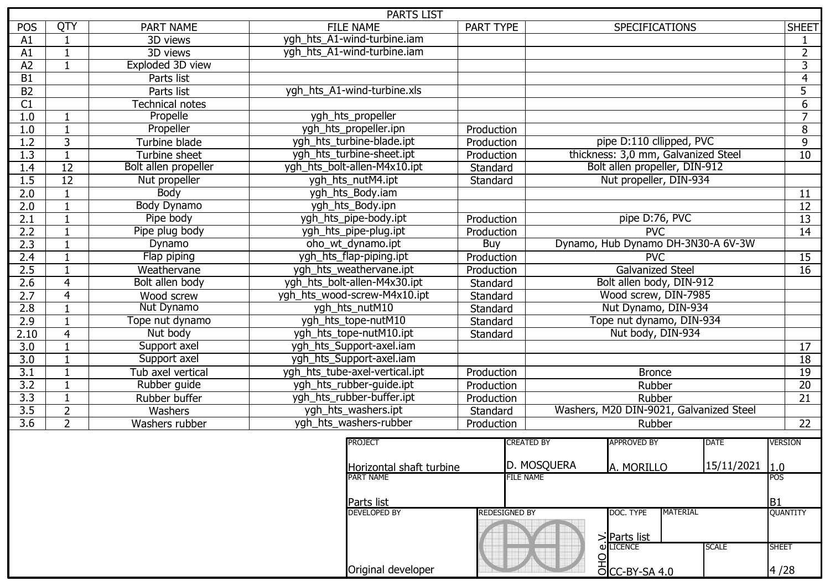| <b>PARTS LIST</b> |                 |                      |                                              |                                           |                                                        |                   |  |  |
|-------------------|-----------------|----------------------|----------------------------------------------|-------------------------------------------|--------------------------------------------------------|-------------------|--|--|
| <b>POS</b>        | QTY             | <b>PART NAME</b>     | <b>FILE NAME</b>                             | PART TYPE                                 | SPECIFICATIONS                                         | <b>SHEET</b>      |  |  |
| A1                | $\mathbf{1}$    | 3D views             | ygh_hts_A1-wind-turbine.iam                  |                                           |                                                        | 1                 |  |  |
| A1                | $\mathbf{1}$    | 3D views             | ygh_hts_A1-wind-turbine.iam                  |                                           |                                                        | $\overline{2}$    |  |  |
| $\overline{A2}$   | $\mathbf{1}$    | Exploded 3D view     |                                              |                                           |                                                        | $\overline{3}$    |  |  |
| <b>B1</b>         |                 | Parts list           |                                              |                                           |                                                        | $\overline{4}$    |  |  |
| B <sub>2</sub>    |                 | Parts list           | ygh_hts_A1-wind-turbine.xls                  |                                           |                                                        | $\overline{5}$    |  |  |
| $\overline{C1}$   |                 | Technical notes      |                                              |                                           |                                                        | $\overline{6}$    |  |  |
| 1.0               | $\mathbf 1$     | Propelle             | ygh_hts_propeller                            |                                           |                                                        | $\overline{7}$    |  |  |
| 1.0               | $\mathbf{1}$    | Propeller            | ygh_hts_propeller.ipn                        | Production                                |                                                        | $\overline{8}$    |  |  |
| 1.2               | 3               | Turbine blade        | ygh hts turbine-blade.ipt                    | Production                                | pipe D:110 cllipped, PVC                               | $\overline{9}$    |  |  |
| $\overline{1.3}$  | $\mathbf{1}$    | Turbine sheet        | ygh_hts_turbine-sheet.ipt                    | Production                                | thickness: 3,0 mm, Galvanized Steel                    | $\overline{10}$   |  |  |
| 1.4               | $\overline{12}$ | Bolt allen propeller | ygh_hts_bolt-allen-M4x10.ipt                 | Standard                                  | Bolt allen propeller, DIN-912                          |                   |  |  |
| 1.5               | $\overline{12}$ | Nut propeller        | ygh_hts_nutM4.ipt                            | Standard                                  | Nut propeller, DIN-934                                 |                   |  |  |
| 2.0               | $\mathbf{1}$    | <b>Body</b>          | ygh_hts_Body.iam                             |                                           |                                                        | 11                |  |  |
| 2.0               | $\mathbf{1}$    | <b>Body Dynamo</b>   | ygh_hts_Body.ipn                             |                                           |                                                        | $\overline{12}$   |  |  |
| 2.1               | $\mathbf{1}$    | Pipe body            | ygh hts pipe-body.ipt                        | Production                                | pipe D:76, PVC                                         | 13                |  |  |
| 2.2               | $\mathbf{1}$    | Pipe plug body       | ygh_hts_pipe-plug.ipt                        | Production                                | PVC                                                    | 14                |  |  |
| 2.3               | $\mathbf{1}$    | Dynamo               | oho_wt_dynamo.ipt                            | Dynamo, Hub Dynamo DH-3N30-A 6V-3W<br>Buy |                                                        |                   |  |  |
| 2.4               |                 | Flap piping          | ygh_hts_flap-piping.ipt                      | Production                                | <b>PVC</b>                                             | 15                |  |  |
| 2.5               | $\mathbf{1}$    | Weathervane          | ygh_hts_weathervane.ipt                      | Production                                | <b>Galvanized Steel</b>                                |                   |  |  |
| $\overline{2.6}$  | $\overline{4}$  | Bolt allen body      | ygh_hts_bolt-allen-M4x30.ipt<br>Standard     |                                           | Bolt allen body, DIN-912                               |                   |  |  |
| 2.7               | 4               | Wood screw           | ygh_hts_wood-screw-M4x10.ipt                 | Standard                                  | Wood screw, DIN-7985                                   |                   |  |  |
| 2.8               | $\mathbf{1}$    | Nut Dynamo           | ygh_hts_nutM10                               | Standard                                  | Nut Dynamo, DIN-934                                    |                   |  |  |
| 2.9               | $\mathbf{1}$    | Tope nut dynamo      | ygh_hts_tope-nutM10                          | Standard                                  | Tope nut dynamo, DIN-934                               |                   |  |  |
| 2.10              | $\overline{4}$  | Nut body             | ygh_hts_tope-nutM10.ipt                      | Standard                                  | Nut body, DIN-934                                      |                   |  |  |
| 3.0               | $\mathbf{1}$    | Support axel         | ygh_hts_Support-axel.iam                     |                                           |                                                        | 17                |  |  |
| $\overline{3.0}$  | $\mathbf{1}$    | Support axel         | ygh_hts_Support-axel.iam                     |                                           |                                                        | $\overline{18}$   |  |  |
| 3.1               | $\mathbf{1}$    | Tub axel vertical    | ygh hts tube-axel-vertical.ipt               | Production                                | <b>Bronce</b>                                          | 19                |  |  |
| 3.2               | $\mathbf{1}$    | Rubber guide         | ygh_hts_rubber-guide.ipt                     | Production                                | Rubber                                                 | $\overline{20}$   |  |  |
| $\overline{3.3}$  | $\mathbf{1}$    | Rubber buffer        | ygh hts rubber-buffer.ipt                    | Production                                | Rubber                                                 | $\overline{21}$   |  |  |
| 3.5               | $\overline{2}$  | Washers              | ygh_hts_washers.ipt                          | Standard                                  | Washers, M20 DIN-9021, Galvanized Steel                |                   |  |  |
| $\overline{3.6}$  | $\overline{2}$  | Washers rubber       | ygh_hts_washers-rubber                       | Production                                | Rubber                                                 | 22                |  |  |
|                   |                 |                      |                                              |                                           |                                                        |                   |  |  |
|                   |                 |                      | <b>PROJECT</b>                               |                                           | <b>CREATED BY</b><br><b>APPROVED BY</b><br><b>DATE</b> | <b>VERSION</b>    |  |  |
|                   |                 |                      |                                              |                                           | D. MOSQUERA<br>15/11/2021                              |                   |  |  |
|                   |                 |                      | Horizontal shaft turbine<br><b>PART NAME</b> | <b>FILE NAME</b>                          | A. MORILLO                                             | 1.0<br><b>POS</b> |  |  |
|                   |                 |                      |                                              |                                           |                                                        |                   |  |  |
|                   |                 |                      | Parts list                                   |                                           |                                                        | B1                |  |  |
|                   |                 |                      | <b>DEVELOPED BY</b>                          | Redesigned by                             | DOC. TYPE<br><b>MATERIAL</b>                           | <b>QUANTITY</b>   |  |  |
|                   |                 |                      |                                              |                                           |                                                        |                   |  |  |
|                   |                 |                      |                                              |                                           | >Parts list                                            |                   |  |  |
|                   |                 |                      |                                              |                                           | <b>Φ</b> LICENCE<br><b>SCALE</b>                       | <b>SHEET</b>      |  |  |
|                   |                 |                      |                                              |                                           | <u>요</u><br><u>이CC-BY-SA 4.0</u>                       |                   |  |  |
|                   |                 |                      | Original developer                           |                                           |                                                        | 4/28              |  |  |